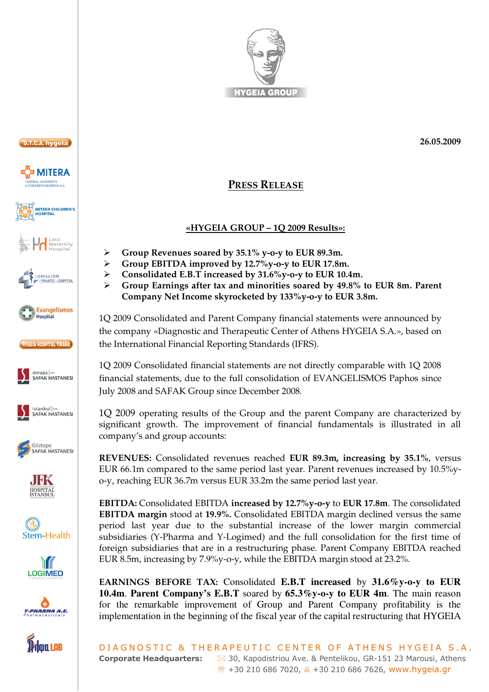



























## **PRESS RELEASE**

## **«HYGEIA GROUP – 1Q 2009 Results»:**

- $\blacktriangleright$ **Group Revenues soared by 35.1% y-o-y to EUR 89.3m.**
- $\blacktriangleright$ **Group EBITDA improved by 12.7%y-o-y to EUR 17.8m.**
- $\blacktriangleright$ **Consolidated E.B.T increased by 31.6%y-o-y to EUR 10.4m.**
- $\triangleright$  **Group Earnings after tax and minorities soared by 49.8% to EUR 8m. Parent Company Net Income skyrocketed by 133%y-o-y to EUR 3.8m.**

1Q 2009 Consolidated and Parent Company financial statements were announced by the company «Diagnostic and Therapeutic Center of Athens HYGEIA S.A.», based on the International Financial Reporting Standards (IFRS).

1Q 2009 Consolidated financial statements are not directly comparable with 1Q 2008 financial statements, due to the full consolidation of EVANGELISMOS Paphos since July 2008 and SAFAK Group since December 2008.

1Q 2009 operating results of the Group and the parent Company are characterized by significant growth. The improvement of financial fundamentals is illustrated in all company's and group accounts:

**REVENUES:** Consolidated revenues reached **EUR 89.3m, increasing by 35.1%**, versus EUR 66.1m compared to the same period last year. Parent revenues increased by 10.5%yo-y, reaching EUR 36.7m versus EUR 33.2m the same period last year.

**EBITDA:** Consolidated EBITDA **increased by 12.7%y-o-y** to **EUR 17.8m**. The consolidated **EBITDA margin** stood at **19.9%.** Consolidated EBITDA margin declined versus the same period last year due to the substantial increase of the lower margin commercial subsidiaries (Y-Pharma and Y-Logimed) and the full consolidation for the first time of foreign subsidiaries that are in a restructuring phase. Parent Company EBITDA reached EUR 8.5m, increasing by 7.9%y-o-y, while the EBITDA margin stood at 23.2%.

**EARNINGS BEFORE TAX:** Consolidated **E.B.T increased** by **31.6%y-o-y to EUR 10.4m**. **Parent Company's E.B.T** soared by **65.3%y-o-y to EUR 4m**. The main reason for the remarkable improvement of Group and Parent Company profitability is the implementation in the beginning of the fiscal year of the capital restructuring that HYGEIA

DIAGNOSTIC & THERAPEUTIC CENTER OF ATHENS HYGEIA S.A. **Corporate Headquarters:**  $\boxtimes$  30, Kapodistriou Ave. & Pentelikou, GR-151 23 Marousi, Athens ℡ +30 210 686 7020, - +30 210 686 7626, www.hygeia.gr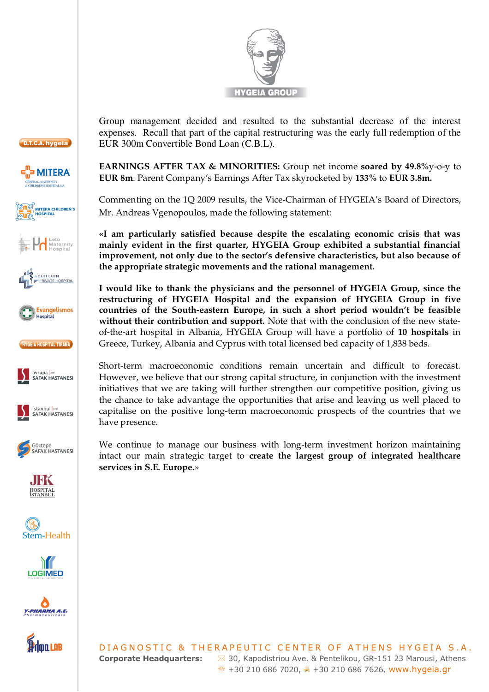



**EARNINGS AFTER TAX & MINORITIES:** Group net income **soared by 49.8%**y-o-y to **EUR 8m**. Parent Company's Earnings After Tax skyrocketed by **133%** to **EUR 3.8m.** 

Commenting on the 1Q 2009 results, the Vice-Chairman of HYGEIA's Board of Directors, Mr. Andreas Vgenopoulos, made the following statement:

**«I am particularly satisfied because despite the escalating economic crisis that was mainly evident in the first quarter, HYGEIA Group exhibited a substantial financial improvement, not only due to the sector's defensive characteristics, but also because of the appropriate strategic movements and the rational management.** 

**I would like to thank the physicians and the personnel of HYGEIA Group, since the restructuring of HYGEIA Hospital and the expansion of HYGEIA Group in five countries of the South-eastern Europe, in such a short period wouldn't be feasible without their contribution and support.** Note that with the conclusion of the new stateof-the-art hospital in Albania, HYGEIA Group will have a portfolio of **10 hospitals** in Greece, Turkey, Albania and Cyprus with total licensed bed capacity of 1,838 beds.

Short-term macroeconomic conditions remain uncertain and difficult to forecast. However, we believe that our strong capital structure, in conjunction with the investment initiatives that we are taking will further strengthen our competitive position, giving us the chance to take advantage the opportunities that arise and leaving us well placed to capitalise on the positive long-term macroeconomic prospects of the countries that we have presence.

We continue to manage our business with long-term investment horizon maintaining intact our main strategic target to **create the largest group of integrated healthcare services in S.E. Europe.**»































doa LAB